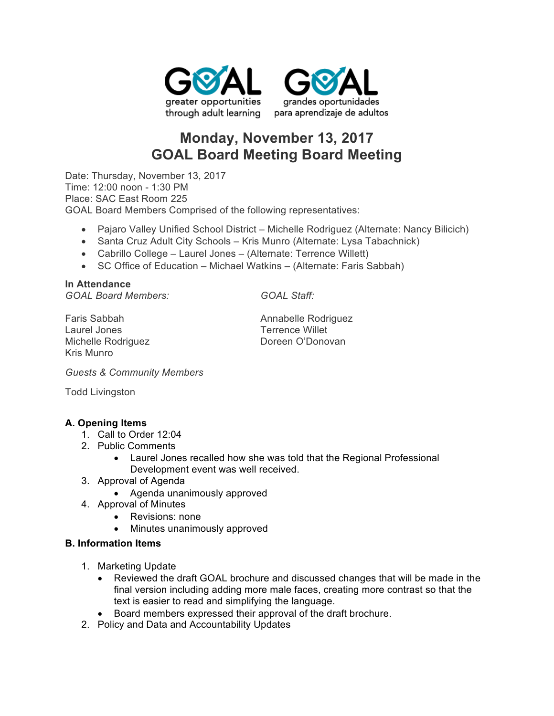



# **Monday, November 13, 2017 GOAL Board Meeting Board Meeting**

Date: Thursday, November 13, 2017 Time: 12:00 noon - 1:30 PM Place: SAC East Room 225 GOAL Board Members Comprised of the following representatives:

- Pajaro Valley Unified School District Michelle Rodriguez (Alternate: Nancy Bilicich)
- Santa Cruz Adult City Schools Kris Munro (Alternate: Lysa Tabachnick)
- Cabrillo College Laurel Jones (Alternate: Terrence Willett)
- SC Office of Education Michael Watkins (Alternate: Faris Sabbah)

**In Attendance** *GOAL Board Members: GOAL Staff:*

Laurel Jones Terrence Willet Michelle Rodriguez **Doreen O'Donovan** Kris Munro

Faris Sabbah **Annabelle Rodriguez Annabelle Rodriguez** 

*Guests & Community Members*

Todd Livingston

# **A. Opening Items**

- 1. Call to Order 12:04
- 2. Public Comments
	- Laurel Jones recalled how she was told that the Regional Professional Development event was well received.
- 3. Approval of Agenda
	- Agenda unanimously approved
- 4. Approval of Minutes
	- Revisions: none
	- Minutes unanimously approved

# **B. Information Items**

- 1. Marketing Update
	- Reviewed the draft GOAL brochure and discussed changes that will be made in the final version including adding more male faces, creating more contrast so that the text is easier to read and simplifying the language.
	- Board members expressed their approval of the draft brochure.
- 2. Policy and Data and Accountability Updates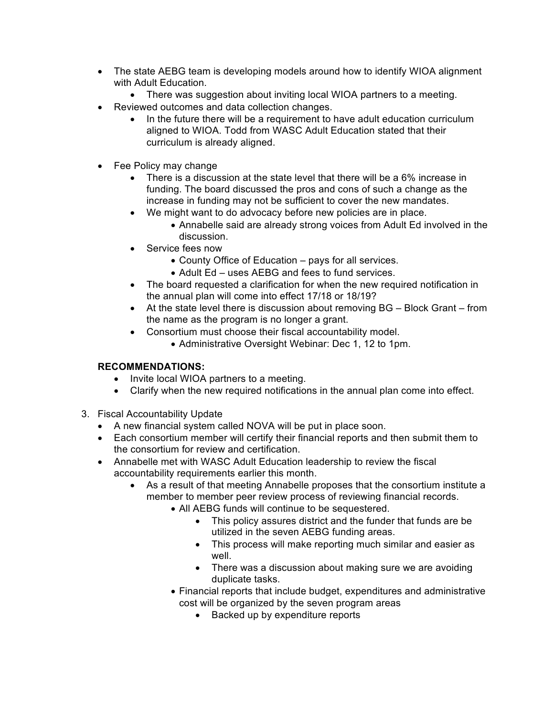- The state AEBG team is developing models around how to identify WIOA alignment with Adult Education.
	- There was suggestion about inviting local WIOA partners to a meeting.
- Reviewed outcomes and data collection changes.
	- In the future there will be a requirement to have adult education curriculum aligned to WIOA. Todd from WASC Adult Education stated that their curriculum is already aligned.
- Fee Policy may change
	- There is a discussion at the state level that there will be a 6% increase in funding. The board discussed the pros and cons of such a change as the increase in funding may not be sufficient to cover the new mandates.
	- We might want to do advocacy before new policies are in place.
		- Annabelle said are already strong voices from Adult Ed involved in the discussion.
	- Service fees now
		- County Office of Education pays for all services.
		- Adult Ed uses AEBG and fees to fund services.
	- The board requested a clarification for when the new required notification in the annual plan will come into effect 17/18 or 18/19?
	- At the state level there is discussion about removing BG Block Grant from the name as the program is no longer a grant.
	- Consortium must choose their fiscal accountability model.
		- Administrative Oversight Webinar: Dec 1, 12 to 1pm.

# **RECOMMENDATIONS:**

- Invite local WIOA partners to a meeting.
- Clarify when the new required notifications in the annual plan come into effect.
- 3. Fiscal Accountability Update
	- A new financial system called NOVA will be put in place soon.
	- Each consortium member will certify their financial reports and then submit them to the consortium for review and certification.
	- Annabelle met with WASC Adult Education leadership to review the fiscal accountability requirements earlier this month.
		- As a result of that meeting Annabelle proposes that the consortium institute a member to member peer review process of reviewing financial records.
			- All AEBG funds will continue to be sequestered.
				- This policy assures district and the funder that funds are be utilized in the seven AEBG funding areas.
				- This process will make reporting much similar and easier as well.
				- There was a discussion about making sure we are avoiding duplicate tasks.
			- Financial reports that include budget, expenditures and administrative cost will be organized by the seven program areas
				- Backed up by expenditure reports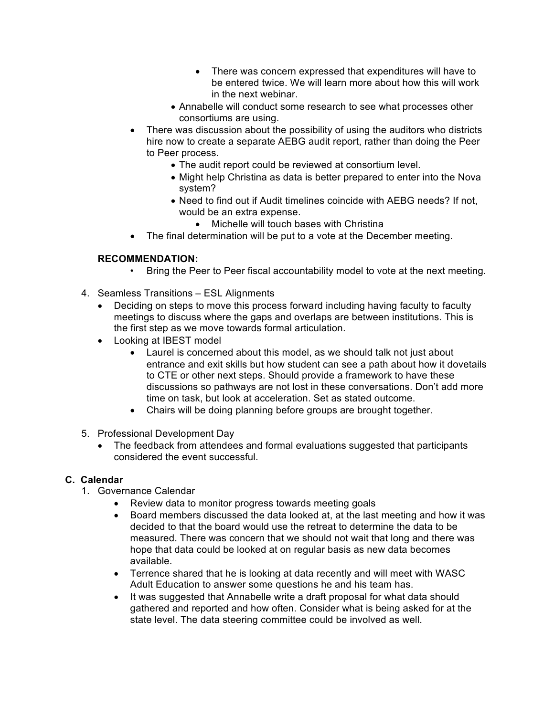- There was concern expressed that expenditures will have to be entered twice. We will learn more about how this will work in the next webinar.
- Annabelle will conduct some research to see what processes other consortiums are using.
- There was discussion about the possibility of using the auditors who districts hire now to create a separate AEBG audit report, rather than doing the Peer to Peer process.
	- The audit report could be reviewed at consortium level.
	- Might help Christina as data is better prepared to enter into the Nova system?
	- Need to find out if Audit timelines coincide with AEBG needs? If not, would be an extra expense.
		- Michelle will touch bases with Christina
- The final determination will be put to a vote at the December meeting.

### **RECOMMENDATION:**

- Bring the Peer to Peer fiscal accountability model to vote at the next meeting.
- 4. Seamless Transitions ESL Alignments
	- Deciding on steps to move this process forward including having faculty to faculty meetings to discuss where the gaps and overlaps are between institutions. This is the first step as we move towards formal articulation.
	- Looking at IBEST model
		- Laurel is concerned about this model, as we should talk not just about entrance and exit skills but how student can see a path about how it dovetails to CTE or other next steps. Should provide a framework to have these discussions so pathways are not lost in these conversations. Don't add more time on task, but look at acceleration. Set as stated outcome.
		- Chairs will be doing planning before groups are brought together.
- 5. Professional Development Day
	- The feedback from attendees and formal evaluations suggested that participants considered the event successful.

# **C. Calendar**

- 1. Governance Calendar
	- Review data to monitor progress towards meeting goals
	- Board members discussed the data looked at, at the last meeting and how it was decided to that the board would use the retreat to determine the data to be measured. There was concern that we should not wait that long and there was hope that data could be looked at on regular basis as new data becomes available.
	- Terrence shared that he is looking at data recently and will meet with WASC Adult Education to answer some questions he and his team has.
	- It was suggested that Annabelle write a draft proposal for what data should gathered and reported and how often. Consider what is being asked for at the state level. The data steering committee could be involved as well.